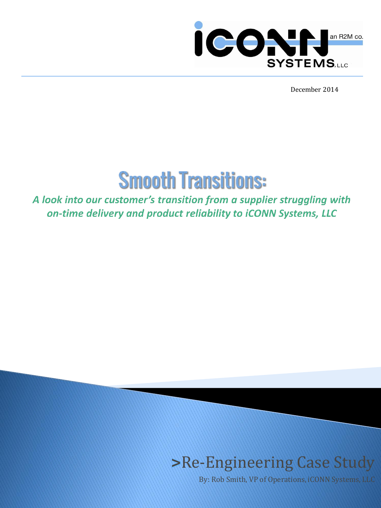

December 2014



A look into our customer's transition from a supplier struggling with on-time delivery and product reliability to iCONN Systems, LLC

# **>**Re-Engineering Case Study

By: Rob Smith, VP of Operations, iCONN Systems, LLC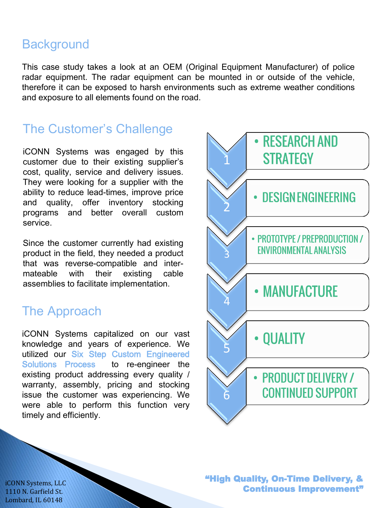#### **Background**

This case study takes a look at an OEM (Original Equipment Manufacturer) of police radar equipment. The radar equipment can be mounted in or outside of the vehicle, therefore it can be exposed to harsh environments such as extreme weather conditions and exposure to all elements found on the road.

### The Customer's Challenge

iCONN Systems was engaged by this customer due to their existing supplier's cost, quality, service and delivery issues. They were looking for a supplier with the ability to reduce lead-times, improve price and quality, offer inventory stocking programs and better overall custom service.

Since the customer currently had existing product in the field, they needed a product that was reverse-compatible and intermateable with their existing cable assemblies to facilitate implementation.

### The Approach

iCONN Systems capitalized on our vast knowledge and years of experience. We utilized our Six Step Custom Engineered Solutions Process to re-engineer the existing product addressing every quality / warranty, assembly, pricing and stocking issue the customer was experiencing. We were able to perform this function very timely and efficiently.



"High Quality, On-Time Delivery, & Continuous Improvement"

iCONN Systems, LLC 1110 N. Garfield St. Lombard, IL 60148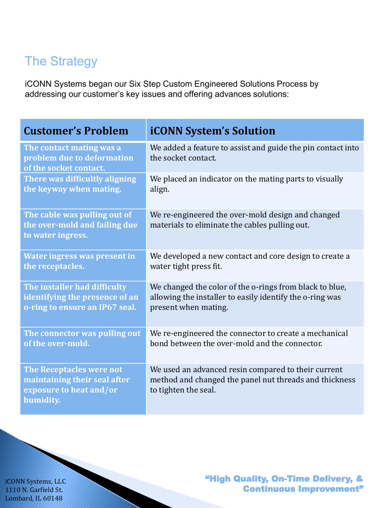## The Strategy

iCONN Systems began our Six Step Custom Engineered Solutions Process by addressing our customer's key issues and offering advances solutions:

| <b>Customer's Problem</b>                                                                               | <b>iCONN System's Solution</b>                                                                                                        |  |
|---------------------------------------------------------------------------------------------------------|---------------------------------------------------------------------------------------------------------------------------------------|--|
| The contact mating was a<br>problem due to deformation<br>of the socket contact.                        | We added a feature to assist and guide the pin contact into<br>the socket contact.                                                    |  |
| There was difficultly aligning                                                                          | We placed an indicator on the mating parts to visually                                                                                |  |
| the keyway when mating.                                                                                 | align.                                                                                                                                |  |
| The cable was pulling out of<br>the over-mold and failing due<br>to water ingress.                      | We re-engineered the over-mold design and changed<br>materials to eliminate the cables pulling out.                                   |  |
| <b>Water ingress was present in</b>                                                                     | We developed a new contact and core design to create a                                                                                |  |
| the receptacles.                                                                                        | water tight press fit.                                                                                                                |  |
| The installer had difficulty                                                                            | We changed the color of the o-rings from black to blue,                                                                               |  |
| identifying the presence of an                                                                          | allowing the installer to easily identify the o-ring was                                                                              |  |
| o-ring to ensure an IP67 seal.                                                                          | present when mating.                                                                                                                  |  |
| The connector was pulling out                                                                           | We re-engineered the connector to create a mechanical                                                                                 |  |
| of the over-mold.                                                                                       | bond between the over-mold and the connector.                                                                                         |  |
| <b>The Receptacles were not</b><br>maintaining their seal after<br>exposure to heat and/or<br>humidity. | We used an advanced resin compared to their current<br>method and changed the panel nut threads and thickness<br>to tighten the seal. |  |

iCONN Systems, LLC 1110 N. Garfield St. Lombard, IL 60148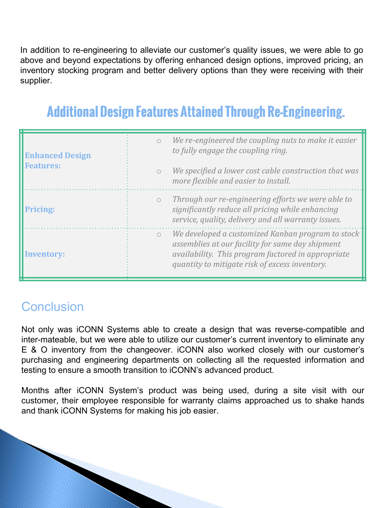In addition to re-engineering to alleviate our customer's quality issues, we were able to go above and beyond expectations by offering enhanced design options, improved pricing, an inventory stocking program and better delivery options than they were receiving with their supplier.

# **Additional Design Features Attained Through Re-Engineering.**

| <b>Enhanced Design</b><br><b>Features:</b> | $\bigcirc$ | We re-engineered the coupling nuts to make it easier<br>to fully engage the coupling ring.                                                                                                                    |
|--------------------------------------------|------------|---------------------------------------------------------------------------------------------------------------------------------------------------------------------------------------------------------------|
|                                            | $\bigcirc$ | We specified a lower cost cable construction that was<br>more flexible and easier to install.                                                                                                                 |
| <b>Pricing:</b>                            | $\bigcirc$ | Through our re-engineering efforts we were able to<br>significantly reduce all pricing while enhancing<br>service, quality, delivery and all warranty issues.                                                 |
| <b>Inventory:</b>                          | $\circ$    | We developed a customized Kanban program to stock<br>assemblies at our facility for same day shipment<br>availability. This program factored in appropriate<br>quantity to mitigate risk of excess inventory. |

### **Conclusion**

Not only was iCONN Systems able to create a design that was reverse-compatible and inter-mateable, but we were able to utilize our customer's current inventory to eliminate any E & O inventory from the changeover. iCONN also worked closely with our customer's purchasing and engineering departments on collecting all the requested information and testing to ensure a smooth transition to iCONN's advanced product.

Months after iCONN System's product was being used, during a site visit with our customer, their employee responsible for warranty claims approached us to shake hands and thank iCONN Systems for making his job easier.